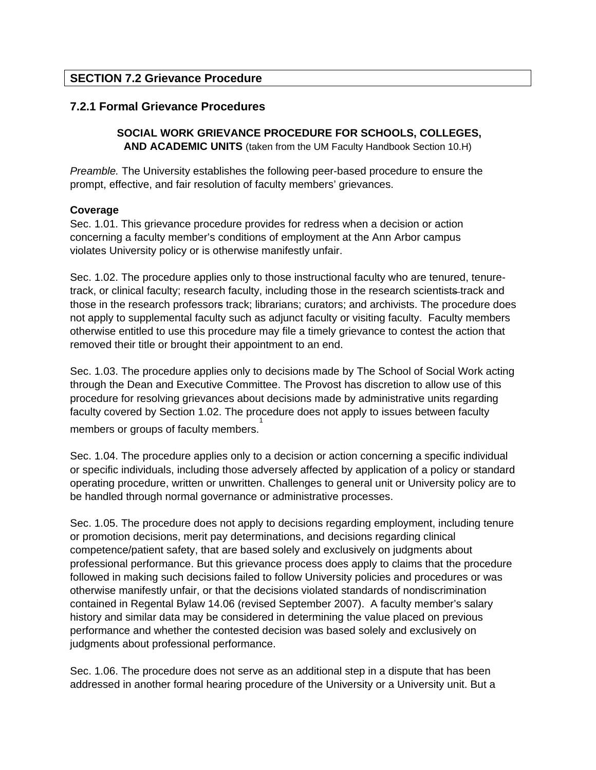## **SECTION 7.2 Grievance Procedure**

## **7.2.1 Formal Grievance Procedures**

# **SOCIAL WORK GRIEVANCE PROCEDURE FOR SCHOOLS, COLLEGES,**

**AND ACADEMIC UNITS** (taken from the UM Faculty Handbook Section 10.H)

*Preamble.* The University establishes the following peer-based procedure to ensure the prompt, effective, and fair resolution of faculty members' grievances.

#### **Coverage**

Sec. 1.01. This grievance procedure provides for redress when a decision or action concerning a faculty member's conditions of employment at the Ann Arbor campus violates University policy or is otherwise manifestly unfair.

Sec. 1.02. The procedure applies only to those instructional faculty who are tenured, tenuretrack, or clinical faculty; research faculty, including those in the research scientists track and those in the research professors track; librarians; curators; and archivists. The procedure does not apply to supplemental faculty such as adjunct faculty or visiting faculty. Faculty members otherwise entitled to use this procedure may file a timely grievance to contest the action that removed their title or brought their appointment to an end.

Sec. 1.03. The procedure applies only to decisions made by The School of Social Work acting through the Dean and Executive Committee. The Provost has discretion to allow use of this procedure for resolving grievances about decisions made by administrative units regarding faculty covered by Section 1.02. The procedure does not apply to issues between faculty members or groups of faculty members. 1

Sec. 1.04. The procedure applies only to a decision or action concerning a specific individual or specific individuals, including those adversely affected by application of a policy or standard operating procedure, written or unwritten. Challenges to general unit or University policy are to be handled through normal governance or administrative processes.

Sec. 1.05. The procedure does not apply to decisions regarding employment, including tenure or promotion decisions, merit pay determinations, and decisions regarding clinical competence/patient safety, that are based solely and exclusively on judgments about professional performance. But this grievance process does apply to claims that the procedure followed in making such decisions failed to follow University policies and procedures or was otherwise manifestly unfair, or that the decisions violated standards of nondiscrimination contained in Regental Bylaw 14.06 (revised September 2007). A faculty member's salary history and similar data may be considered in determining the value placed on previous performance and whether the contested decision was based solely and exclusively on judgments about professional performance.

Sec. 1.06. The procedure does not serve as an additional step in a dispute that has been addressed in another formal hearing procedure of the University or a University unit. But a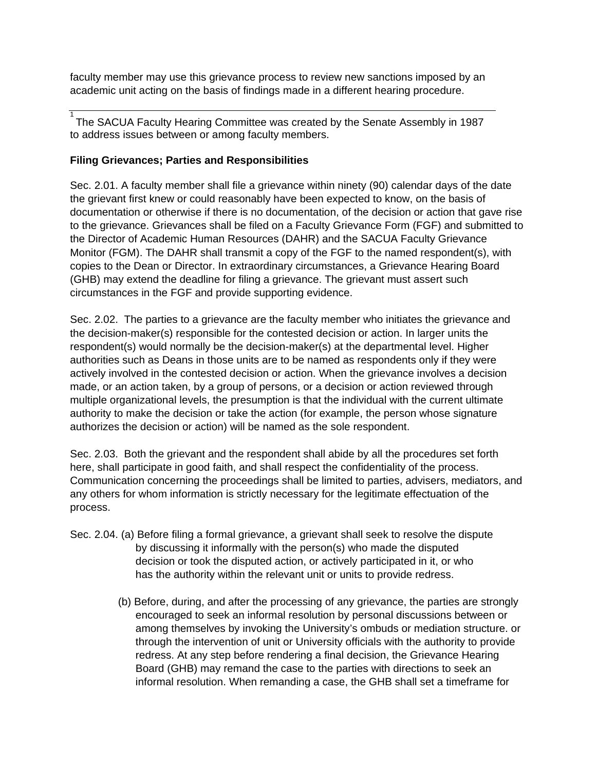faculty member may use this grievance process to review new sanctions imposed by an academic unit acting on the basis of findings made in a different hearing procedure.

1 The SACUA Faculty Hearing Committee was created by the Senate Assembly in 1987 to address issues between or among faculty members.

### **Filing Grievances; Parties and Responsibilities**

Sec. 2.01. A faculty member shall file a grievance within ninety (90) calendar days of the date the grievant first knew or could reasonably have been expected to know, on the basis of documentation or otherwise if there is no documentation, of the decision or action that gave rise to the grievance. Grievances shall be filed on a Faculty Grievance Form (FGF) and submitted to the Director of Academic Human Resources (DAHR) and the SACUA Faculty Grievance Monitor (FGM). The DAHR shall transmit a copy of the FGF to the named respondent(s), with copies to the Dean or Director. In extraordinary circumstances, a Grievance Hearing Board (GHB) may extend the deadline for filing a grievance. The grievant must assert such circumstances in the FGF and provide supporting evidence.

Sec. 2.02. The parties to a grievance are the faculty member who initiates the grievance and the decision-maker(s) responsible for the contested decision or action. In larger units the respondent(s) would normally be the decision-maker(s) at the departmental level. Higher authorities such as Deans in those units are to be named as respondents only if they were actively involved in the contested decision or action. When the grievance involves a decision made, or an action taken, by a group of persons, or a decision or action reviewed through multiple organizational levels, the presumption is that the individual with the current ultimate authority to make the decision or take the action (for example, the person whose signature authorizes the decision or action) will be named as the sole respondent.

Sec. 2.03. Both the grievant and the respondent shall abide by all the procedures set forth here, shall participate in good faith, and shall respect the confidentiality of the process. Communication concerning the proceedings shall be limited to parties, advisers, mediators, and any others for whom information is strictly necessary for the legitimate effectuation of the process.

- Sec. 2.04. (a) Before filing a formal grievance, a grievant shall seek to resolve the dispute by discussing it informally with the person(s) who made the disputed decision or took the disputed action, or actively participated in it, or who has the authority within the relevant unit or units to provide redress.
	- (b) Before, during, and after the processing of any grievance, the parties are strongly encouraged to seek an informal resolution by personal discussions between or among themselves by invoking the University's ombuds or mediation structure. or through the intervention of unit or University officials with the authority to provide redress. At any step before rendering a final decision, the Grievance Hearing Board (GHB) may remand the case to the parties with directions to seek an informal resolution. When remanding a case, the GHB shall set a timeframe for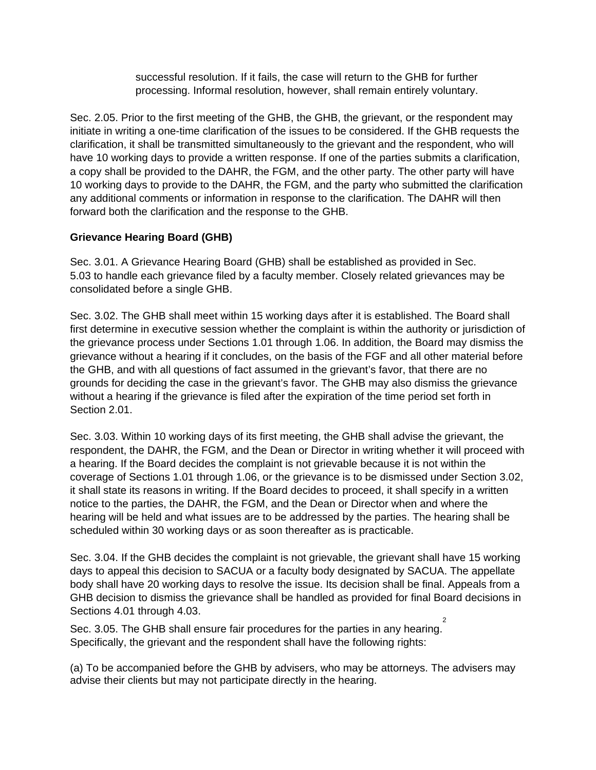successful resolution. If it fails, the case will return to the GHB for further processing. Informal resolution, however, shall remain entirely voluntary.

Sec. 2.05. Prior to the first meeting of the GHB, the GHB, the grievant, or the respondent may initiate in writing a one-time clarification of the issues to be considered. If the GHB requests the clarification, it shall be transmitted simultaneously to the grievant and the respondent, who will have 10 working days to provide a written response. If one of the parties submits a clarification, a copy shall be provided to the DAHR, the FGM, and the other party. The other party will have 10 working days to provide to the DAHR, the FGM, and the party who submitted the clarification any additional comments or information in response to the clarification. The DAHR will then forward both the clarification and the response to the GHB.

## **Grievance Hearing Board (GHB)**

Sec. 3.01. A Grievance Hearing Board (GHB) shall be established as provided in Sec. 5.03 to handle each grievance filed by a faculty member. Closely related grievances may be consolidated before a single GHB.

Sec. 3.02. The GHB shall meet within 15 working days after it is established. The Board shall first determine in executive session whether the complaint is within the authority or jurisdiction of the grievance process under Sections 1.01 through 1.06. In addition, the Board may dismiss the grievance without a hearing if it concludes, on the basis of the FGF and all other material before the GHB, and with all questions of fact assumed in the grievant's favor, that there are no grounds for deciding the case in the grievant's favor. The GHB may also dismiss the grievance without a hearing if the grievance is filed after the expiration of the time period set forth in Section 2.01.

Sec. 3.03. Within 10 working days of its first meeting, the GHB shall advise the grievant, the respondent, the DAHR, the FGM, and the Dean or Director in writing whether it will proceed with a hearing. If the Board decides the complaint is not grievable because it is not within the coverage of Sections 1.01 through 1.06, or the grievance is to be dismissed under Section 3.02, it shall state its reasons in writing. If the Board decides to proceed, it shall specify in a written notice to the parties, the DAHR, the FGM, and the Dean or Director when and where the hearing will be held and what issues are to be addressed by the parties. The hearing shall be scheduled within 30 working days or as soon thereafter as is practicable.

Sec. 3.04. If the GHB decides the complaint is not grievable, the grievant shall have 15 working days to appeal this decision to SACUA or a faculty body designated by SACUA. The appellate body shall have 20 working days to resolve the issue. Its decision shall be final. Appeals from a GHB decision to dismiss the grievance shall be handled as provided for final Board decisions in Sections 4.01 through 4.03.  $\overline{2}$ 

Sec. 3.05. The GHB shall ensure fair procedures for the parties in any hearing. Specifically, the grievant and the respondent shall have the following rights:

(a) To be accompanied before the GHB by advisers, who may be attorneys. The advisers may advise their clients but may not participate directly in the hearing.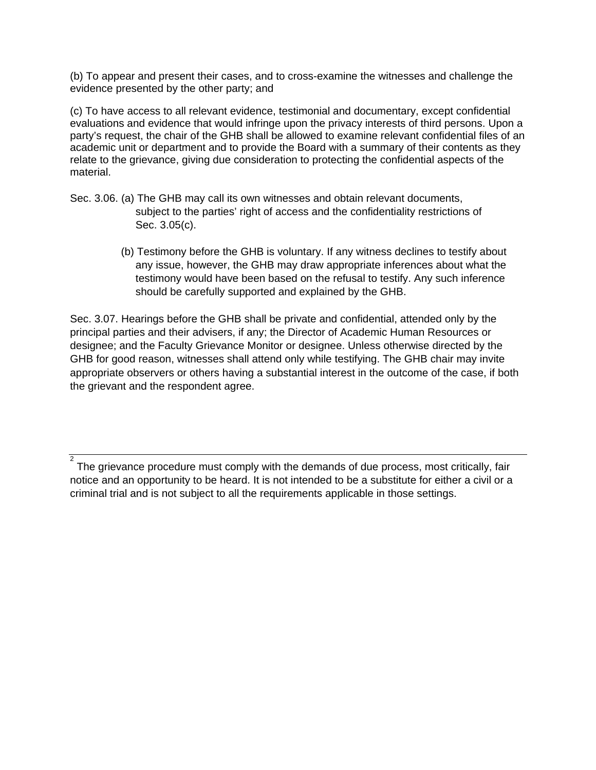(b) To appear and present their cases, and to cross-examine the witnesses and challenge the evidence presented by the other party; and

(c) To have access to all relevant evidence, testimonial and documentary, except confidential evaluations and evidence that would infringe upon the privacy interests of third persons. Upon a party's request, the chair of the GHB shall be allowed to examine relevant confidential files of an academic unit or department and to provide the Board with a summary of their contents as they relate to the grievance, giving due consideration to protecting the confidential aspects of the material.

- Sec. 3.06. (a) The GHB may call its own witnesses and obtain relevant documents, subject to the parties' right of access and the confidentiality restrictions of Sec. 3.05(c).
	- (b) Testimony before the GHB is voluntary. If any witness declines to testify about any issue, however, the GHB may draw appropriate inferences about what the testimony would have been based on the refusal to testify. Any such inference should be carefully supported and explained by the GHB.

Sec. 3.07. Hearings before the GHB shall be private and confidential, attended only by the principal parties and their advisers, if any; the Director of Academic Human Resources or designee; and the Faculty Grievance Monitor or designee. Unless otherwise directed by the GHB for good reason, witnesses shall attend only while testifying. The GHB chair may invite appropriate observers or others having a substantial interest in the outcome of the case, if both the grievant and the respondent agree.

2 The grievance procedure must comply with the demands of due process, most critically, fair notice and an opportunity to be heard. It is not intended to be a substitute for either a civil or a criminal trial and is not subject to all the requirements applicable in those settings.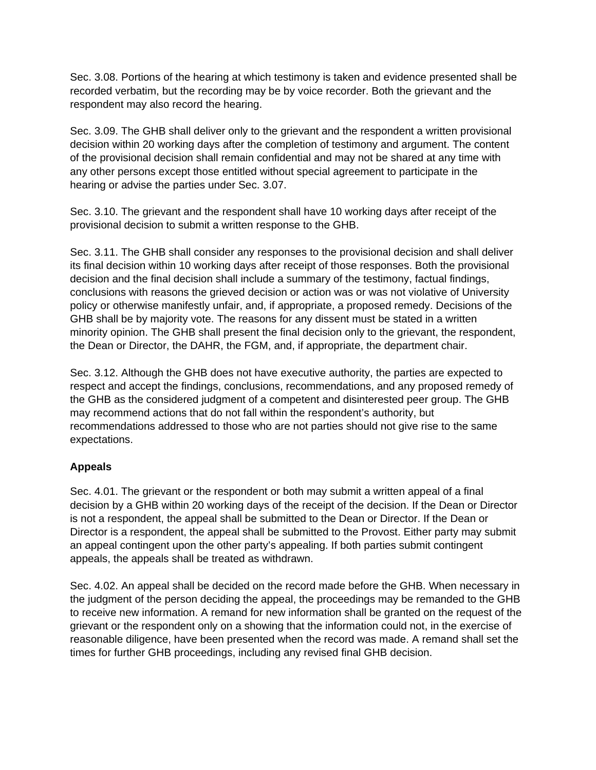Sec. 3.08. Portions of the hearing at which testimony is taken and evidence presented shall be recorded verbatim, but the recording may be by voice recorder. Both the grievant and the respondent may also record the hearing.

Sec. 3.09. The GHB shall deliver only to the grievant and the respondent a written provisional decision within 20 working days after the completion of testimony and argument. The content of the provisional decision shall remain confidential and may not be shared at any time with any other persons except those entitled without special agreement to participate in the hearing or advise the parties under Sec. 3.07.

Sec. 3.10. The grievant and the respondent shall have 10 working days after receipt of the provisional decision to submit a written response to the GHB.

Sec. 3.11. The GHB shall consider any responses to the provisional decision and shall deliver its final decision within 10 working days after receipt of those responses. Both the provisional decision and the final decision shall include a summary of the testimony, factual findings, conclusions with reasons the grieved decision or action was or was not violative of University policy or otherwise manifestly unfair, and, if appropriate, a proposed remedy. Decisions of the GHB shall be by majority vote. The reasons for any dissent must be stated in a written minority opinion. The GHB shall present the final decision only to the grievant, the respondent, the Dean or Director, the DAHR, the FGM, and, if appropriate, the department chair.

Sec. 3.12. Although the GHB does not have executive authority, the parties are expected to respect and accept the findings, conclusions, recommendations, and any proposed remedy of the GHB as the considered judgment of a competent and disinterested peer group. The GHB may recommend actions that do not fall within the respondent's authority, but recommendations addressed to those who are not parties should not give rise to the same expectations.

## **Appeals**

Sec. 4.01. The grievant or the respondent or both may submit a written appeal of a final decision by a GHB within 20 working days of the receipt of the decision. If the Dean or Director is not a respondent, the appeal shall be submitted to the Dean or Director. If the Dean or Director is a respondent, the appeal shall be submitted to the Provost. Either party may submit an appeal contingent upon the other party's appealing. If both parties submit contingent appeals, the appeals shall be treated as withdrawn.

Sec. 4.02. An appeal shall be decided on the record made before the GHB. When necessary in the judgment of the person deciding the appeal, the proceedings may be remanded to the GHB to receive new information. A remand for new information shall be granted on the request of the grievant or the respondent only on a showing that the information could not, in the exercise of reasonable diligence, have been presented when the record was made. A remand shall set the times for further GHB proceedings, including any revised final GHB decision.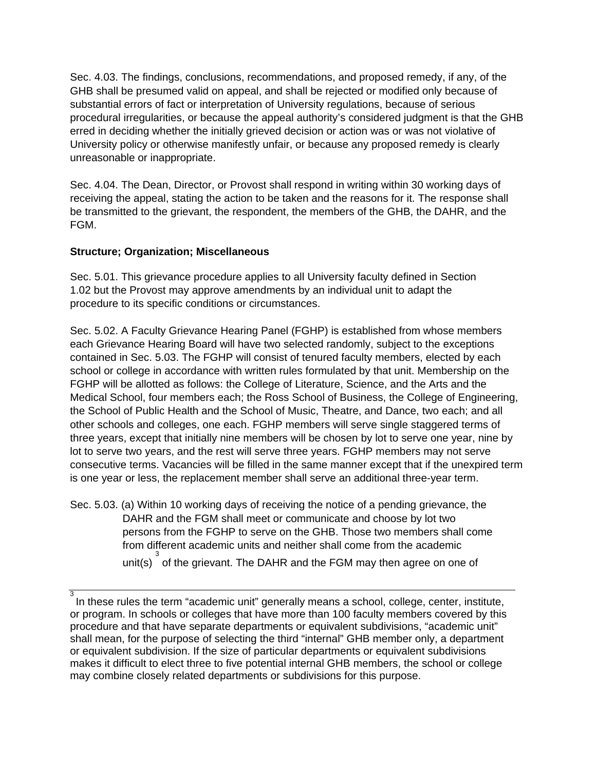Sec. 4.03. The findings, conclusions, recommendations, and proposed remedy, if any, of the GHB shall be presumed valid on appeal, and shall be rejected or modified only because of substantial errors of fact or interpretation of University regulations, because of serious procedural irregularities, or because the appeal authority's considered judgment is that the GHB erred in deciding whether the initially grieved decision or action was or was not violative of University policy or otherwise manifestly unfair, or because any proposed remedy is clearly unreasonable or inappropriate.

Sec. 4.04. The Dean, Director, or Provost shall respond in writing within 30 working days of receiving the appeal, stating the action to be taken and the reasons for it. The response shall be transmitted to the grievant, the respondent, the members of the GHB, the DAHR, and the FGM.

#### **Structure; Organization; Miscellaneous**

Sec. 5.01. This grievance procedure applies to all University faculty defined in Section 1.02 but the Provost may approve amendments by an individual unit to adapt the procedure to its specific conditions or circumstances.

Sec. 5.02. A Faculty Grievance Hearing Panel (FGHP) is established from whose members each Grievance Hearing Board will have two selected randomly, subject to the exceptions contained in Sec. 5.03. The FGHP will consist of tenured faculty members, elected by each school or college in accordance with written rules formulated by that unit. Membership on the FGHP will be allotted as follows: the College of Literature, Science, and the Arts and the Medical School, four members each; the Ross School of Business, the College of Engineering, the School of Public Health and the School of Music, Theatre, and Dance, two each; and all other schools and colleges, one each. FGHP members will serve single staggered terms of three years, except that initially nine members will be chosen by lot to serve one year, nine by lot to serve two years, and the rest will serve three years. FGHP members may not serve consecutive terms. Vacancies will be filled in the same manner except that if the unexpired term is one year or less, the replacement member shall serve an additional three-year term.

Sec. 5.03. (a) Within 10 working days of receiving the notice of a pending grievance, the DAHR and the FGM shall meet or communicate and choose by lot two persons from the FGHP to serve on the GHB. Those two members shall come from different academic units and neither shall come from the academic unit(s)  $\int_{0}^{3}$  of the grievant. The DAHR and the FGM may then agree on one of

 $^{\rm 3}$  In these rules the term "academic unit" generally means a school, college, center, institute, or program. In schools or colleges that have more than 100 faculty members covered by this procedure and that have separate departments or equivalent subdivisions, "academic unit" shall mean, for the purpose of selecting the third "internal" GHB member only, a department or equivalent subdivision. If the size of particular departments or equivalent subdivisions makes it difficult to elect three to five potential internal GHB members, the school or college may combine closely related departments or subdivisions for this purpose.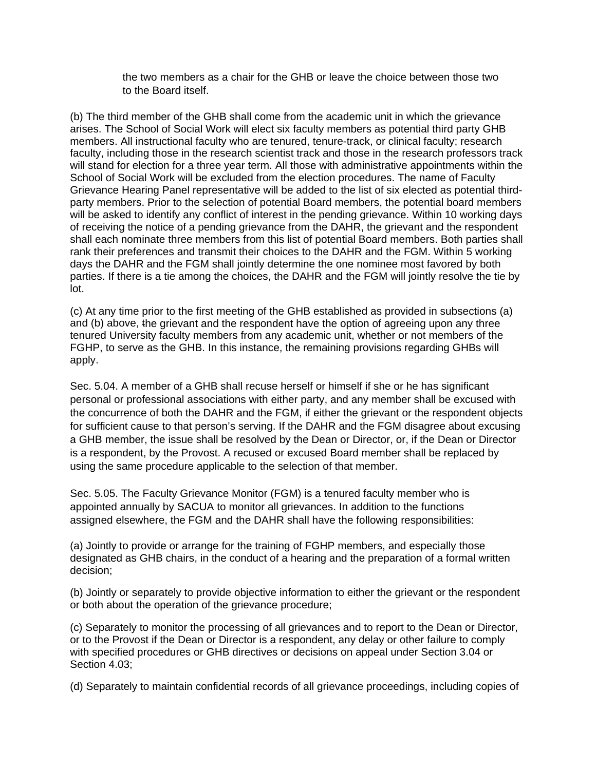the two members as a chair for the GHB or leave the choice between those two to the Board itself.

(b) The third member of the GHB shall come from the academic unit in which the grievance arises. The School of Social Work will elect six faculty members as potential third party GHB members. All instructional faculty who are tenured, tenure-track, or clinical faculty; research faculty, including those in the research scientist track and those in the research professors track will stand for election for a three year term. All those with administrative appointments within the School of Social Work will be excluded from the election procedures. The name of Faculty Grievance Hearing Panel representative will be added to the list of six elected as potential thirdparty members. Prior to the selection of potential Board members, the potential board members will be asked to identify any conflict of interest in the pending grievance. Within 10 working days of receiving the notice of a pending grievance from the DAHR, the grievant and the respondent shall each nominate three members from this list of potential Board members. Both parties shall rank their preferences and transmit their choices to the DAHR and the FGM. Within 5 working days the DAHR and the FGM shall jointly determine the one nominee most favored by both parties. If there is a tie among the choices, the DAHR and the FGM will jointly resolve the tie by lot.

(c) At any time prior to the first meeting of the GHB established as provided in subsections (a) and (b) above, the grievant and the respondent have the option of agreeing upon any three tenured University faculty members from any academic unit, whether or not members of the FGHP, to serve as the GHB. In this instance, the remaining provisions regarding GHBs will apply.

Sec. 5.04. A member of a GHB shall recuse herself or himself if she or he has significant personal or professional associations with either party, and any member shall be excused with the concurrence of both the DAHR and the FGM, if either the grievant or the respondent objects for sufficient cause to that person's serving. If the DAHR and the FGM disagree about excusing a GHB member, the issue shall be resolved by the Dean or Director, or, if the Dean or Director is a respondent, by the Provost. A recused or excused Board member shall be replaced by using the same procedure applicable to the selection of that member.

Sec. 5.05. The Faculty Grievance Monitor (FGM) is a tenured faculty member who is appointed annually by SACUA to monitor all grievances. In addition to the functions assigned elsewhere, the FGM and the DAHR shall have the following responsibilities:

(a) Jointly to provide or arrange for the training of FGHP members, and especially those designated as GHB chairs, in the conduct of a hearing and the preparation of a formal written decision;

(b) Jointly or separately to provide objective information to either the grievant or the respondent or both about the operation of the grievance procedure;

(c) Separately to monitor the processing of all grievances and to report to the Dean or Director, or to the Provost if the Dean or Director is a respondent, any delay or other failure to comply with specified procedures or GHB directives or decisions on appeal under Section 3.04 or Section 4.03;

(d) Separately to maintain confidential records of all grievance proceedings, including copies of